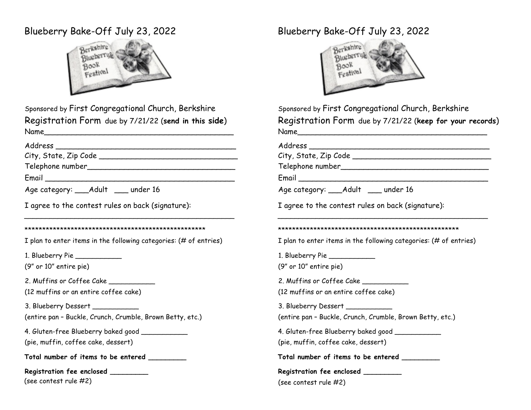## Blueberry Bake-Off July 23, 2022



Sponsored by First Congregational Church, Berkshire Registration Form due by 7/21/22 (**send in this side**) Name

Address \_\_\_\_\_\_\_\_\_\_\_\_\_\_\_\_\_\_\_\_\_\_\_\_\_\_\_\_\_\_\_\_\_\_\_\_\_\_\_

City, State, Zip Code \_\_\_\_\_\_\_\_\_\_\_\_\_\_\_\_\_\_\_\_\_\_\_\_\_\_\_\_\_\_

Telephone number\_\_\_\_\_\_\_\_\_\_\_\_\_\_\_\_\_\_\_\_\_\_\_\_\_\_\_\_\_\_\_\_

Email \_\_\_\_\_\_\_\_\_\_\_\_\_\_\_\_\_\_\_\_\_\_\_\_\_\_\_\_\_\_\_\_\_\_\_\_\_\_\_\_\_

| Age category: | Adult | under 16 |  |
|---------------|-------|----------|--|
|---------------|-------|----------|--|

I agree to the contest rules on back (signature):

## \*\*\*\*\*\*\*\*\*\*\*\*\*\*\*\*\*\*\*\*\*\*\*\*\*\*\*\*\*\*\*\*\*\*\*\*\*\*\*\*\*\*\*\*\*\*\*\*\*\*\*

I plan to enter items in the following categories: (# of entries)

\_\_\_\_\_\_\_\_\_\_\_\_\_\_\_\_\_\_\_\_\_\_\_\_\_\_\_\_\_\_\_\_\_\_\_\_\_\_\_\_\_\_\_\_\_\_\_\_\_\_

1. Blueberry Pie \_\_\_\_\_\_\_\_\_\_\_

(9" or 10" entire pie)

2. Muffins or Coffee Cake \_\_\_\_\_\_\_\_\_\_

(12 muffins or an entire coffee cake)

3. Blueberry Dessert \_\_\_\_\_\_\_\_\_\_\_ (entire pan – Buckle, Crunch, Crumble, Brown Betty, etc.)

4. Gluten-free Blueberry baked good \_\_\_\_\_\_\_\_\_\_\_

(pie, muffin, coffee cake, dessert)

**Total number of items to be entered \_\_\_\_\_\_\_\_\_** 

**Registration fee enclosed \_\_\_\_\_\_\_\_\_**  (see contest rule #2)

## Blueberry Bake-Off July 23, 2022



Sponsored by First Congregational Church, Berkshire Registration Form due by 7/21/22 (**keep for your records**) Name

Address \_\_\_\_\_\_\_\_\_\_\_\_\_\_\_\_\_\_\_\_\_\_\_\_\_\_\_\_\_\_\_\_\_\_\_\_\_\_\_

City, State, Zip Code entitled to the City of the City of the City of the City of the City of the City of the City

Telephone number\_\_\_\_\_\_\_\_\_\_\_\_\_\_\_\_\_\_\_\_\_\_\_\_\_\_\_\_\_\_\_\_

Email \_\_\_\_\_\_\_\_\_\_\_\_\_\_\_\_\_\_\_\_\_\_\_\_\_\_\_\_\_\_\_\_\_\_\_\_\_\_\_\_\_

Age category: \_\_\_\_Adult \_\_\_\_ under 16

I agree to the contest rules on back (signature):

## \*\*\*\*\*\*\*\*\*\*\*\*\*\*\*\*\*\*\*\*\*\*\*\*\*\*\*\*\*\*\*\*\*\*\*\*\*\*\*\*\*\*\*\*\*\*\*\*\*\*\*

I plan to enter items in the following categories: (# of entries)

\_\_\_\_\_\_\_\_\_\_\_\_\_\_\_\_\_\_\_\_\_\_\_\_\_\_\_\_\_\_\_\_\_\_\_\_\_\_\_\_\_\_\_\_\_\_\_\_\_\_

1. Blueberry Pie \_\_\_\_\_\_\_\_\_\_\_

(9" or 10" entire pie)

2. Muffins or Coffee Cake

(12 muffins or an entire coffee cake)

3. Blueberry Dessert \_\_\_\_\_\_\_\_\_\_\_\_

(entire pan – Buckle, Crunch, Crumble, Brown Betty, etc.)

4. Gluten-free Blueberry baked good \_\_\_\_\_\_\_\_\_\_\_ (pie, muffin, coffee cake, dessert)

**Total number of items to be entered \_\_\_\_\_\_\_\_\_** 

**Registration fee enclosed \_\_\_\_\_\_\_\_\_**  (see contest rule #2)